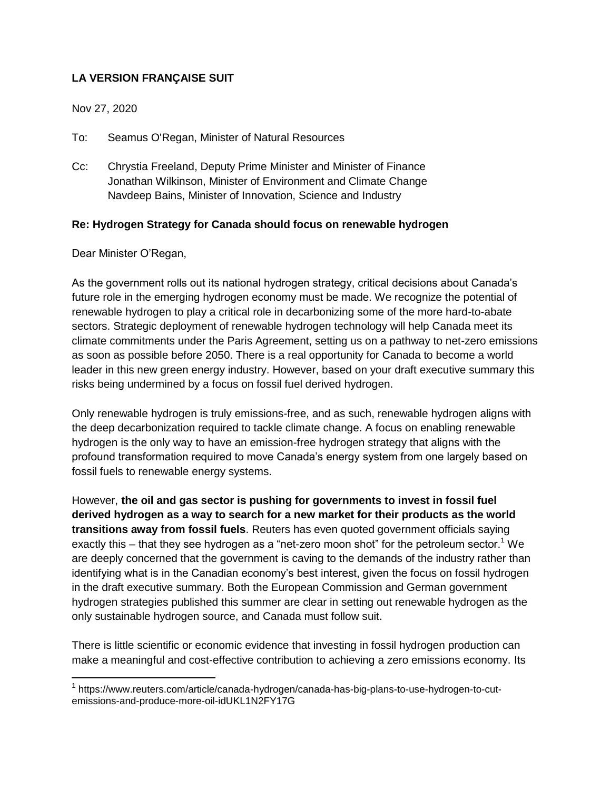## **LA VERSION FRANÇAISE SUIT**

Nov 27, 2020

To: Seamus O'Regan, Minister of Natural Resources

Cc: Chrystia Freeland, Deputy Prime Minister and Minister of Finance Jonathan Wilkinson, Minister of Environment and Climate Change Navdeep Bains, Minister of Innovation, Science and Industry

## **Re: Hydrogen Strategy for Canada should focus on renewable hydrogen**

Dear Minister O'Regan,

 $\overline{a}$ 

As the government rolls out its national hydrogen strategy, critical decisions about Canada's future role in the emerging hydrogen economy must be made. We recognize the potential of renewable hydrogen to play a critical role in decarbonizing some of the more hard-to-abate sectors. Strategic deployment of renewable hydrogen technology will help Canada meet its climate commitments under the Paris Agreement, setting us on a pathway to net-zero emissions as soon as possible before 2050. There is a real opportunity for Canada to become a world leader in this new green energy industry. However, based on your draft executive summary this risks being undermined by a focus on fossil fuel derived hydrogen.

Only renewable hydrogen is truly emissions-free, and as such, renewable hydrogen aligns with the deep decarbonization required to tackle climate change. A focus on enabling renewable hydrogen is the only way to have an emission-free hydrogen strategy that aligns with the profound transformation required to move Canada's energy system from one largely based on fossil fuels to renewable energy systems.

However, **the oil and gas sector is pushing for governments to invest in fossil fuel derived hydrogen as a way to search for a new market for their products as the world transitions away from fossil fuels**. Reuters has even quoted government officials saying exactly this – that they see hydrogen as a "net-zero moon shot" for the petroleum sector.<sup>1</sup> We are deeply concerned that the government is caving to the demands of the industry rather than identifying what is in the Canadian economy's best interest, given the focus on fossil hydrogen in the draft executive summary. Both the European Commission and German government hydrogen strategies published this summer are clear in setting out renewable hydrogen as the only sustainable hydrogen source, and Canada must follow suit.

There is little scientific or economic evidence that investing in fossil hydrogen production can make a meaningful and cost-effective contribution to achieving a zero emissions economy. Its

<sup>&</sup>lt;sup>1</sup> https://www.reuters.com/article/canada-hydrogen/canada-has-big-plans-to-use-hydrogen-to-cutemissions-and-produce-more-oil-idUKL1N2FY17G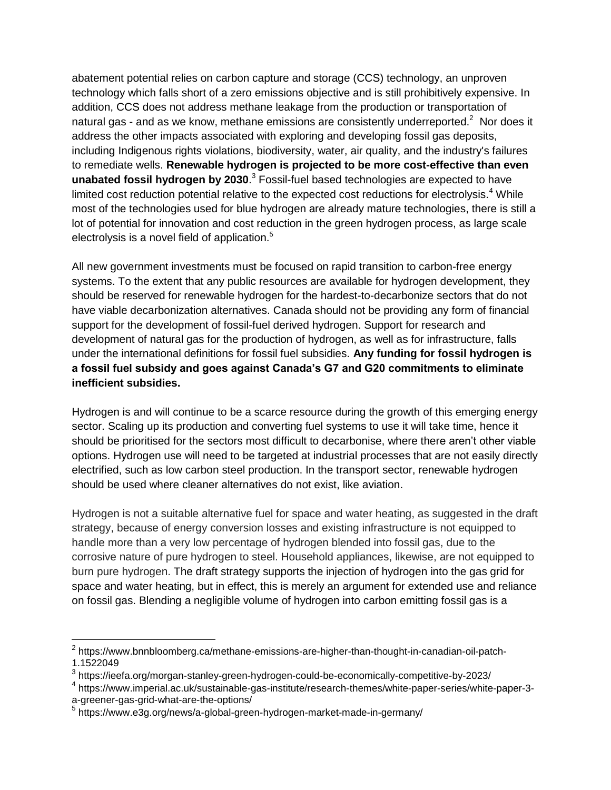abatement potential relies on carbon capture and storage (CCS) technology, an unproven technology which falls short of a zero emissions objective and is still prohibitively expensive. In addition, CCS does not address methane leakage from the production or transportation of natural gas - and as we know, methane emissions are consistently underreported.<sup>2</sup> Nor does it address the other impacts associated with exploring and developing fossil gas deposits, including Indigenous rights violations, biodiversity, water, air quality, and the industry's failures to remediate wells. **Renewable hydrogen is projected to be more cost-effective than even unabated fossil hydrogen by 2030**. <sup>3</sup> Fossil-fuel based technologies are expected to have limited cost reduction potential relative to the expected cost reductions for electrolysis.<sup>4</sup> While most of the technologies used for blue hydrogen are already mature technologies, there is still a lot of potential for innovation and cost reduction in the green hydrogen process, as large scale electrolysis is a novel field of application.<sup>5</sup>

All new government investments must be focused on rapid transition to carbon-free energy systems. To the extent that any public resources are available for hydrogen development, they should be reserved for renewable hydrogen for the hardest-to-decarbonize sectors that do not have viable decarbonization alternatives. Canada should not be providing any form of financial support for the development of fossil-fuel derived hydrogen. Support for research and development of natural gas for the production of hydrogen, as well as for infrastructure, falls under the international definitions for fossil fuel subsidies. **Any funding for fossil hydrogen is a fossil fuel subsidy and goes against Canada's G7 and G20 commitments to eliminate inefficient subsidies.**

Hydrogen is and will continue to be a scarce resource during the growth of this emerging energy sector. Scaling up its production and converting fuel systems to use it will take time, hence it should be prioritised for the sectors most difficult to decarbonise, where there aren't other viable options. Hydrogen use will need to be targeted at industrial processes that are not easily directly electrified, such as low carbon steel production. In the transport sector, renewable hydrogen should be used where cleaner alternatives do not exist, like aviation.

Hydrogen is not a suitable alternative fuel for space and water heating, as suggested in the draft strategy, because of energy conversion losses and existing infrastructure is not equipped to handle more than a very low percentage of hydrogen blended into fossil gas, due to the corrosive nature of pure hydrogen to steel. Household appliances, likewise, are not equipped to burn pure hydrogen. The draft strategy supports the injection of hydrogen into the gas grid for space and water heating, but in effect, this is merely an argument for extended use and reliance on fossil gas. Blending a negligible volume of hydrogen into carbon emitting fossil gas is a

<sup>&</sup>lt;sup>2</sup> https://www.bnnbloomberg.ca/methane-emissions-are-higher-than-thought-in-canadian-oil-patch-1.1522049

<sup>&</sup>lt;sup>3</sup> https://ieefa.org/morgan-stanley-green-hydrogen-could-be-economically-competitive-by-2023/

<sup>4</sup> https://www.imperial.ac.uk/sustainable-gas-institute/research-themes/white-paper-series/white-paper-3 a-greener-gas-grid-what-are-the-options/

<sup>5</sup> https://www.e3g.org/news/a-global-green-hydrogen-market-made-in-germany/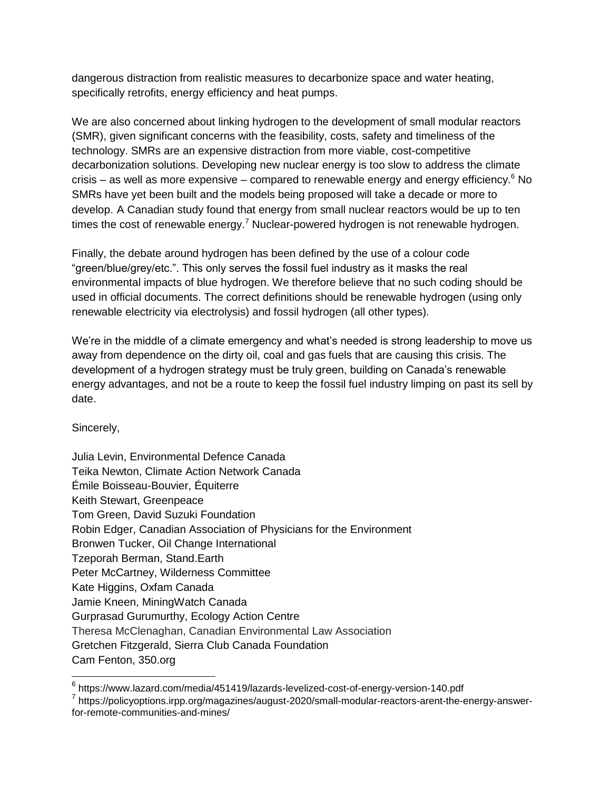dangerous distraction from realistic measures to decarbonize space and water heating, specifically retrofits, energy efficiency and heat pumps.

We are also concerned about linking hydrogen to the development of small modular reactors (SMR), given significant concerns with the feasibility, costs, safety and timeliness of the technology. SMRs are an expensive distraction from more viable, cost-competitive decarbonization solutions. Developing new nuclear energy is too slow to address the climate crisis – as well as more expensive – compared to renewable energy and energy efficiency. $6$  No SMRs have yet been built and the models being proposed will take a decade or more to develop. A Canadian study found that energy from small nuclear reactors would be up to ten times the cost of renewable energy.<sup>7</sup> Nuclear-powered hydrogen is not renewable hydrogen.

Finally, the debate around hydrogen has been defined by the use of a colour code "green/blue/grey/etc.". This only serves the fossil fuel industry as it masks the real environmental impacts of blue hydrogen. We therefore believe that no such coding should be used in official documents. The correct definitions should be renewable hydrogen (using only renewable electricity via electrolysis) and fossil hydrogen (all other types).

We're in the middle of a climate emergency and what's needed is strong leadership to move us away from dependence on the dirty oil, coal and gas fuels that are causing this crisis. The development of a hydrogen strategy must be truly green, building on Canada's renewable energy advantages, and not be a route to keep the fossil fuel industry limping on past its sell by date.

Sincerely,

 $\overline{a}$ 

| Julia Levin, Environmental Defence Canada                           |
|---------------------------------------------------------------------|
| Teika Newton, Climate Action Network Canada                         |
| Émile Boisseau-Bouvier, Équiterre                                   |
| Keith Stewart, Greenpeace                                           |
| Tom Green, David Suzuki Foundation                                  |
| Robin Edger, Canadian Association of Physicians for the Environment |
| Bronwen Tucker, Oil Change International                            |
| Tzeporah Berman, Stand.Earth                                        |
| Peter McCartney, Wilderness Committee                               |
| Kate Higgins, Oxfam Canada                                          |
| Jamie Kneen, MiningWatch Canada                                     |
| Gurprasad Gurumurthy, Ecology Action Centre                         |
| Theresa McClenaghan, Canadian Environmental Law Association         |
| Gretchen Fitzgerald, Sierra Club Canada Foundation                  |
| Cam Fenton, 350.org                                                 |

 $^6$  https://www.lazard.com/media/451419/lazards-levelized-cost-of-energy-version-140.pdf

<sup>&</sup>lt;sup>7</sup> https://policyoptions.irpp.org/magazines/august-2020/small-modular-reactors-arent-the-energy-answerfor-remote-communities-and-mines/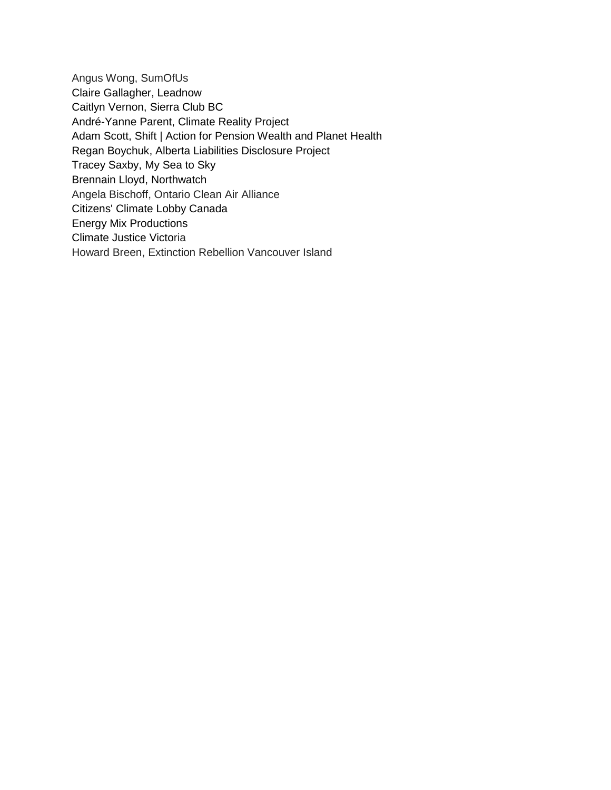Angus Wong, SumOfUs Claire Gallagher, Leadnow Caitlyn Vernon, Sierra Club BC André-Yanne Parent, Climate Reality Project Adam Scott, Shift | Action for Pension Wealth and Planet Health Regan Boychuk, Alberta Liabilities Disclosure Project Tracey Saxby, My Sea to Sky Brennain Lloyd, Northwatch Angela Bischoff, Ontario Clean Air Alliance Citizens' Climate Lobby Canada Energy Mix Productions Climate Justice Victoria Howard Breen, Extinction Rebellion Vancouver Island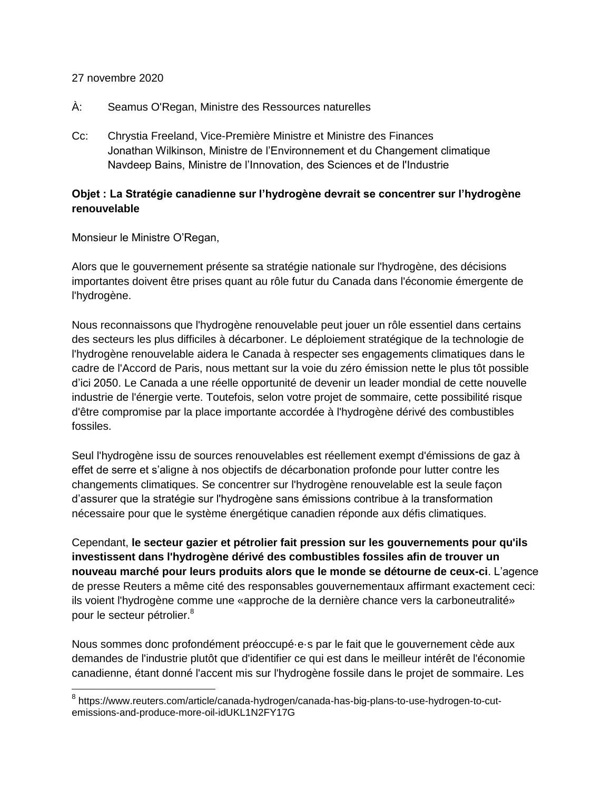## 27 novembre 2020

- À: Seamus O'Regan, Ministre des Ressources naturelles
- Cc: Chrystia Freeland, Vice-Première Ministre et Ministre des Finances Jonathan Wilkinson, Ministre de l'Environnement et du Changement climatique Navdeep Bains, Ministre de l'Innovation, des Sciences et de l'Industrie

## **Objet : La Stratégie canadienne sur l'hydrogène devrait se concentrer sur l'hydrogène renouvelable**

Monsieur le Ministre O'Regan,

Alors que le gouvernement présente sa stratégie nationale sur l'hydrogène, des décisions importantes doivent être prises quant au rôle futur du Canada dans l'économie émergente de l'hydrogène.

Nous reconnaissons que l'hydrogène renouvelable peut jouer un rôle essentiel dans certains des secteurs les plus difficiles à décarboner. Le déploiement stratégique de la technologie de l'hydrogène renouvelable aidera le Canada à respecter ses engagements climatiques dans le cadre de l'Accord de Paris, nous mettant sur la voie du zéro émission nette le plus tôt possible d'ici 2050. Le Canada a une réelle opportunité de devenir un leader mondial de cette nouvelle industrie de l'énergie verte. Toutefois, selon votre projet de sommaire, cette possibilité risque d'être compromise par la place importante accordée à l'hydrogène dérivé des combustibles fossiles.

Seul l'hydrogène issu de sources renouvelables est réellement exempt d'émissions de gaz à effet de serre et s'aligne à nos objectifs de décarbonation profonde pour lutter contre les changements climatiques. Se concentrer sur l'hydrogène renouvelable est la seule façon d'assurer que la stratégie sur l'hydrogène sans émissions contribue à la transformation nécessaire pour que le système énergétique canadien réponde aux défis climatiques.

Cependant, **le secteur gazier et pétrolier fait pression sur les gouvernements pour qu'ils investissent dans l'hydrogène dérivé des combustibles fossiles afin de trouver un nouveau marché pour leurs produits alors que le monde se détourne de ceux-ci**. L'agence de presse Reuters a même cité des responsables gouvernementaux affirmant exactement ceci: ils voient l'hydrogène comme une «approche de la dernière chance vers la carboneutralité» pour le secteur pétrolier.<sup>8</sup>

Nous sommes donc profondément préoccupé·e·s par le fait que le gouvernement cède aux demandes de l'industrie plutôt que d'identifier ce qui est dans le meilleur intérêt de l'économie canadienne, étant donné l'accent mis sur l'hydrogène fossile dans le projet de sommaire. Les

<sup>&</sup>lt;sup>8</sup> https://www.reuters.com/article/canada-hydrogen/canada-has-big-plans-to-use-hydrogen-to-cutemissions-and-produce-more-oil-idUKL1N2FY17G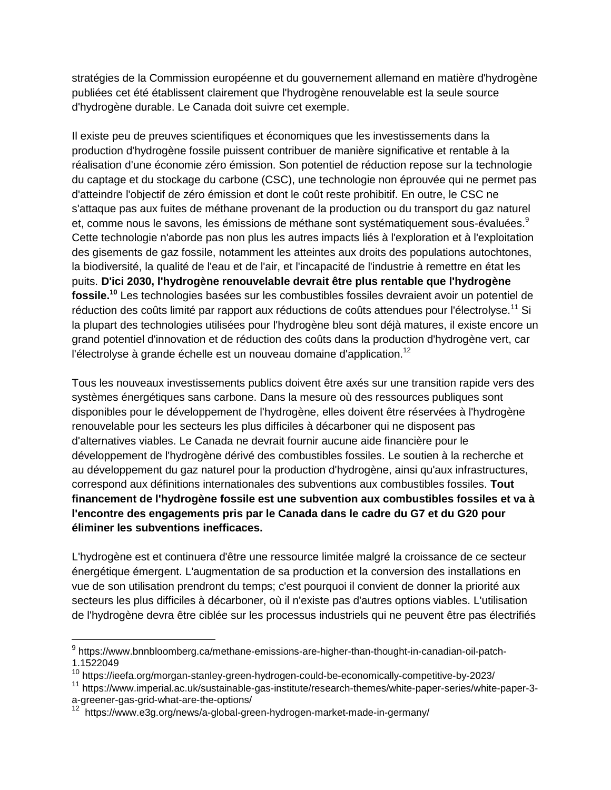stratégies de la Commission européenne et du gouvernement allemand en matière d'hydrogène publiées cet été établissent clairement que l'hydrogène renouvelable est la seule source d'hydrogène durable. Le Canada doit suivre cet exemple.

Il existe peu de preuves scientifiques et économiques que les investissements dans la production d'hydrogène fossile puissent contribuer de manière significative et rentable à la réalisation d'une économie zéro émission. Son potentiel de réduction repose sur la technologie du captage et du stockage du carbone (CSC), une technologie non éprouvée qui ne permet pas d'atteindre l'objectif de zéro émission et dont le coût reste prohibitif. En outre, le CSC ne s'attaque pas aux fuites de méthane provenant de la production ou du transport du gaz naturel et, comme nous le savons, les émissions de méthane sont systématiquement sous-évaluées. $^9$ Cette technologie n'aborde pas non plus les autres impacts liés à l'exploration et à l'exploitation des gisements de gaz fossile, notamment les atteintes aux droits des populations autochtones, la biodiversité, la qualité de l'eau et de l'air, et l'incapacité de l'industrie à remettre en état les puits. **D'ici 2030, l'hydrogène renouvelable devrait être plus rentable que l'hydrogène fossile.<sup>10</sup>** Les technologies basées sur les combustibles fossiles devraient avoir un potentiel de réduction des coûts limité par rapport aux réductions de coûts attendues pour l'électrolyse.<sup>11</sup> Si la plupart des technologies utilisées pour l'hydrogène bleu sont déjà matures, il existe encore un grand potentiel d'innovation et de réduction des coûts dans la production d'hydrogène vert, car l'électrolyse à grande échelle est un nouveau domaine d'application.<sup>12</sup>

Tous les nouveaux investissements publics doivent être axés sur une transition rapide vers des systèmes énergétiques sans carbone. Dans la mesure où des ressources publiques sont disponibles pour le développement de l'hydrogène, elles doivent être réservées à l'hydrogène renouvelable pour les secteurs les plus difficiles à décarboner qui ne disposent pas d'alternatives viables. Le Canada ne devrait fournir aucune aide financière pour le développement de l'hydrogène dérivé des combustibles fossiles. Le soutien à la recherche et au développement du gaz naturel pour la production d'hydrogène, ainsi qu'aux infrastructures, correspond aux définitions internationales des subventions aux combustibles fossiles. **Tout financement de l'hydrogène fossile est une subvention aux combustibles fossiles et va à l'encontre des engagements pris par le Canada dans le cadre du G7 et du G20 pour éliminer les subventions inefficaces.**

L'hydrogène est et continuera d'être une ressource limitée malgré la croissance de ce secteur énergétique émergent. L'augmentation de sa production et la conversion des installations en vue de son utilisation prendront du temps; c'est pourquoi il convient de donner la priorité aux secteurs les plus difficiles à décarboner, où il n'existe pas d'autres options viables. L'utilisation de l'hydrogène devra être ciblée sur les processus industriels qui ne peuvent être pas électrifiés

<sup>&</sup>lt;sup>9</sup> https://www.bnnbloomberg.ca/methane-emissions-are-higher-than-thought-in-canadian-oil-patch-1.1522049

<sup>10</sup> https://ieefa.org/morgan-stanley-green-hydrogen-could-be-economically-competitive-by-2023/

<sup>&</sup>lt;sup>11</sup> https://www.imperial.ac.uk/sustainable-gas-institute/research-themes/white-paper-series/white-paper-3a-greener-gas-grid-what-are-the-options/

<sup>&</sup>lt;sup>12</sup> https://www.e3g.org/news/a-global-green-hydrogen-market-made-in-germany/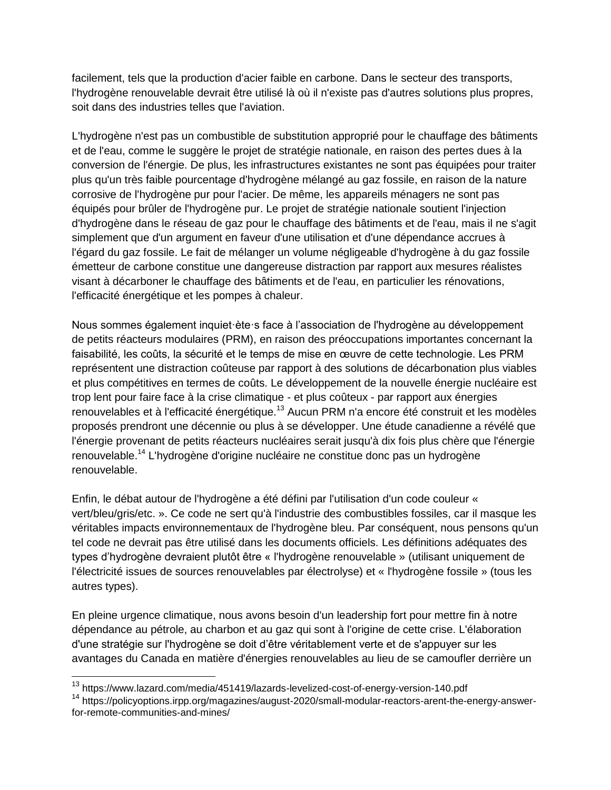facilement, tels que la production d'acier faible en carbone. Dans le secteur des transports, l'hydrogène renouvelable devrait être utilisé là où il n'existe pas d'autres solutions plus propres, soit dans des industries telles que l'aviation.

L'hydrogène n'est pas un combustible de substitution approprié pour le chauffage des bâtiments et de l'eau, comme le suggère le projet de stratégie nationale, en raison des pertes dues à la conversion de l'énergie. De plus, les infrastructures existantes ne sont pas équipées pour traiter plus qu'un très faible pourcentage d'hydrogène mélangé au gaz fossile, en raison de la nature corrosive de l'hydrogène pur pour l'acier. De même, les appareils ménagers ne sont pas équipés pour brûler de l'hydrogène pur. Le projet de stratégie nationale soutient l'injection d'hydrogène dans le réseau de gaz pour le chauffage des bâtiments et de l'eau, mais il ne s'agit simplement que d'un argument en faveur d'une utilisation et d'une dépendance accrues à l'égard du gaz fossile. Le fait de mélanger un volume négligeable d'hydrogène à du gaz fossile émetteur de carbone constitue une dangereuse distraction par rapport aux mesures réalistes visant à décarboner le chauffage des bâtiments et de l'eau, en particulier les rénovations, l'efficacité énergétique et les pompes à chaleur.

Nous sommes également inquiet·ète·s face à l'association de l'hydrogène au développement de petits réacteurs modulaires (PRM), en raison des préoccupations importantes concernant la faisabilité, les coûts, la sécurité et le temps de mise en œuvre de cette technologie. Les PRM représentent une distraction coûteuse par rapport à des solutions de décarbonation plus viables et plus compétitives en termes de coûts. Le développement de la nouvelle énergie nucléaire est trop lent pour faire face à la crise climatique - et plus coûteux - par rapport aux énergies renouvelables et à l'efficacité énergétique.<sup>13</sup> Aucun PRM n'a encore été construit et les modèles proposés prendront une décennie ou plus à se développer. Une étude canadienne a révélé que l'énergie provenant de petits réacteurs nucléaires serait jusqu'à dix fois plus chère que l'énergie renouvelable.<sup>14</sup> L'hydrogène d'origine nucléaire ne constitue donc pas un hydrogène renouvelable.

Enfin, le débat autour de l'hydrogène a été défini par l'utilisation d'un code couleur « vert/bleu/gris/etc. ». Ce code ne sert qu'à l'industrie des combustibles fossiles, car il masque les véritables impacts environnementaux de l'hydrogène bleu. Par conséquent, nous pensons qu'un tel code ne devrait pas être utilisé dans les documents officiels. Les définitions adéquates des types d'hydrogène devraient plutôt être « l'hydrogène renouvelable » (utilisant uniquement de l'électricité issues de sources renouvelables par électrolyse) et « l'hydrogène fossile » (tous les autres types).

En pleine urgence climatique, nous avons besoin d'un leadership fort pour mettre fin à notre dépendance au pétrole, au charbon et au gaz qui sont à l'origine de cette crise. L'élaboration d'une stratégie sur l'hydrogène se doit d'être véritablement verte et de s'appuyer sur les avantages du Canada en matière d'énergies renouvelables au lieu de se camoufler derrière un

 $\overline{a}$ 

<sup>&</sup>lt;sup>13</sup> https://www.lazard.com/media/451419/lazards-levelized-cost-of-energy-version-140.pdf

<sup>&</sup>lt;sup>14</sup> https://policyoptions.irpp.org/magazines/august-2020/small-modular-reactors-arent-the-energy-answerfor-remote-communities-and-mines/